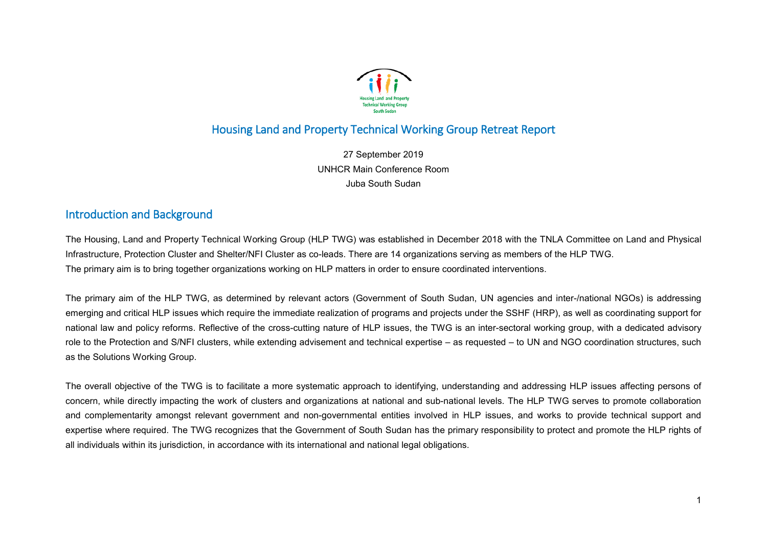

# Housing Land and Property Technical Working Group Retreat Report

27 September 2019 UNHCR Main Conference Room Juba South Sudan

## Introduction and Background

The Housing, Land and Property Technical Working Group (HLP TWG) was established in December 2018 with the TNLA Committee on Land and Physical Infrastructure, Protection Cluster and Shelter/NFI Cluster as co-leads. There are 14 organizations serving as members of the HLP TWG. The primary aim is to bring together organizations working on HLP matters in order to ensure coordinated interventions.

The primary aim of the HLP TWG, as determined by relevant actors (Government of South Sudan, UN agencies and inter-/national NGOs) is addressing emerging and critical HLP issues which require the immediate realization of programs and projects under the SSHF (HRP), as well as coordinating support for national law and policy reforms. Reflective of the cross-cutting nature of HLP issues, the TWG is an inter-sectoral working group, with a dedicated advisory role to the Protection and S/NFI clusters, while extending advisement and technical expertise – as requested – to UN and NGO coordination structures, such as the Solutions Working Group.

The overall objective of the TWG is to facilitate a more systematic approach to identifying, understanding and addressing HLP issues affecting persons of concern, while directly impacting the work of clusters and organizations at national and sub-national levels. The HLP TWG serves to promote collaboration and complementarity amongst relevant government and non-governmental entities involved in HLP issues, and works to provide technical support and expertise where required. The TWG recognizes that the Government of South Sudan has the primary responsibility to protect and promote the HLP rights of all individuals within its jurisdiction, in accordance with its international and national legal obligations.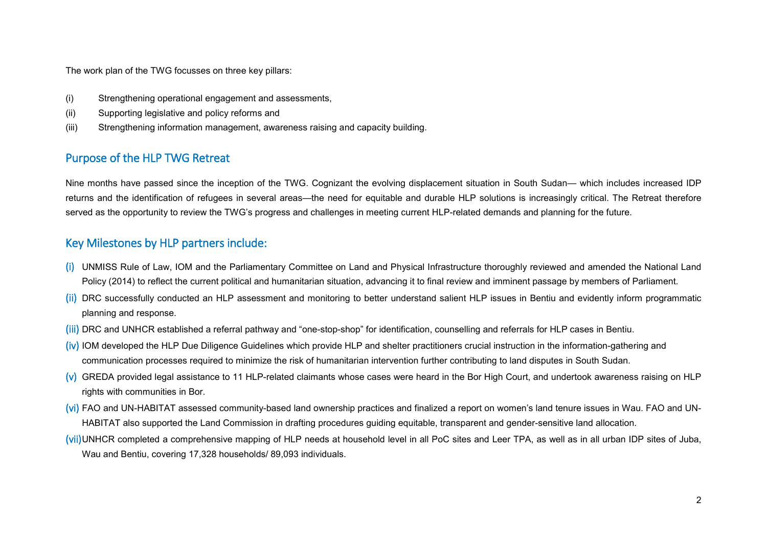The work plan of the TWG focusses on three key pillars:

- (i) Strengthening operational engagement and assessments,
- (ii) Supporting legislative and policy reforms and
- (iii) Strengthening information management, awareness raising and capacity building.

# Purpose of the HLP TWG Retreat

Nine months have passed since the inception of the TWG. Cognizant the evolving displacement situation in South Sudan— which includes increased IDP returns and the identification of refugees in several areas—the need for equitable and durable HLP solutions is increasingly critical. The Retreat therefore served as the opportunity to review the TWG's progress and challenges in meeting current HLP-related demands and planning for the future.

## Key Milestones by HLP partners include:

- (i) UNMISS Rule of Law, IOM and the Parliamentary Committee on Land and Physical Infrastructure thoroughly reviewed and amended the National Land Policy (2014) to reflect the current political and humanitarian situation, advancing it to final review and imminent passage by members of Parliament.
- (ii) DRC successfully conducted an HLP assessment and monitoring to better understand salient HLP issues in Bentiu and evidently inform programmatic planning and response.
- (iii) DRC and UNHCR established a referral pathway and "one-stop-shop" for identification, counselling and referrals for HLP cases in Bentiu.
- $(iv)$  IOM developed the HLP Due Diligence Guidelines which provide HLP and shelter practitioners crucial instruction in the information-gathering and communication processes required to minimize the risk of humanitarian intervention further contributing to land disputes in South Sudan.
- (v) GREDA provided legal assistance to 11 HLP-related claimants whose cases were heard in the Bor High Court, and undertook awareness raising on HLP rights with communities in Bor.
- (vi) FAO and UN-HABITAT assessed community-based land ownership practices and finalized a report on women's land tenure issues in Wau. FAO and UN-HABITAT also supported the Land Commission in drafting procedures guiding equitable, transparent and gender-sensitive land allocation.
- (vii)UNHCR completed a comprehensive mapping of HLP needs at household level in all PoC sites and Leer TPA, as well as in all urban IDP sites of Juba, Wau and Bentiu, covering 17,328 households/ 89,093 individuals.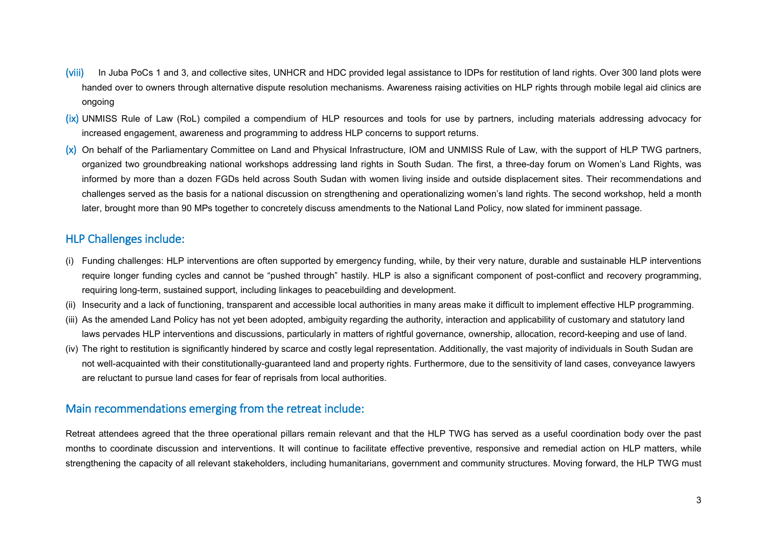- (viii) In Juba PoCs 1 and 3, and collective sites, UNHCR and HDC provided legal assistance to IDPs for restitution of land rights. Over 300 land plots were handed over to owners through alternative dispute resolution mechanisms. Awareness raising activities on HLP rights through mobile legal aid clinics are ongoing
- (ix) UNMISS Rule of Law (RoL) compiled a compendium of HLP resources and tools for use by partners, including materials addressing advocacy for increased engagement, awareness and programming to address HLP concerns to support returns.
- (x) On behalf of the Parliamentary Committee on Land and Physical Infrastructure, IOM and UNMISS Rule of Law, with the support of HLP TWG partners, organized two groundbreaking national workshops addressing land rights in South Sudan. The first, a three-day forum on Women's Land Rights, was informed by more than a dozen FGDs held across South Sudan with women living inside and outside displacement sites. Their recommendations and challenges served as the basis for a national discussion on strengthening and operationalizing women's land rights. The second workshop, held a month later, brought more than 90 MPs together to concretely discuss amendments to the National Land Policy, now slated for imminent passage.

## HLP Challenges include:

- (i) Funding challenges: HLP interventions are often supported by emergency funding, while, by their very nature, durable and sustainable HLP interventions require longer funding cycles and cannot be "pushed through" hastily. HLP is also a significant component of post-conflict and recovery programming, requiring long-term, sustained support, including linkages to peacebuilding and development.
- (ii) Insecurity and a lack of functioning, transparent and accessible local authorities in many areas make it difficult to implement effective HLP programming.
- (iii) As the amended Land Policy has not yet been adopted, ambiguity regarding the authority, interaction and applicability of customary and statutory land laws pervades HLP interventions and discussions, particularly in matters of rightful governance, ownership, allocation, record-keeping and use of land.
- (iv) The right to restitution is significantly hindered by scarce and costly legal representation. Additionally, the vast majority of individuals in South Sudan are not well-acquainted with their constitutionally-guaranteed land and property rights. Furthermore, due to the sensitivity of land cases, conveyance lawyers are reluctant to pursue land cases for fear of reprisals from local authorities.

## Main recommendations emerging from the retreat include:

Retreat attendees agreed that the three operational pillars remain relevant and that the HLP TWG has served as a useful coordination body over the past months to coordinate discussion and interventions. It will continue to facilitate effective preventive, responsive and remedial action on HLP matters, while strengthening the capacity of all relevant stakeholders, including humanitarians, government and community structures. Moving forward, the HLP TWG must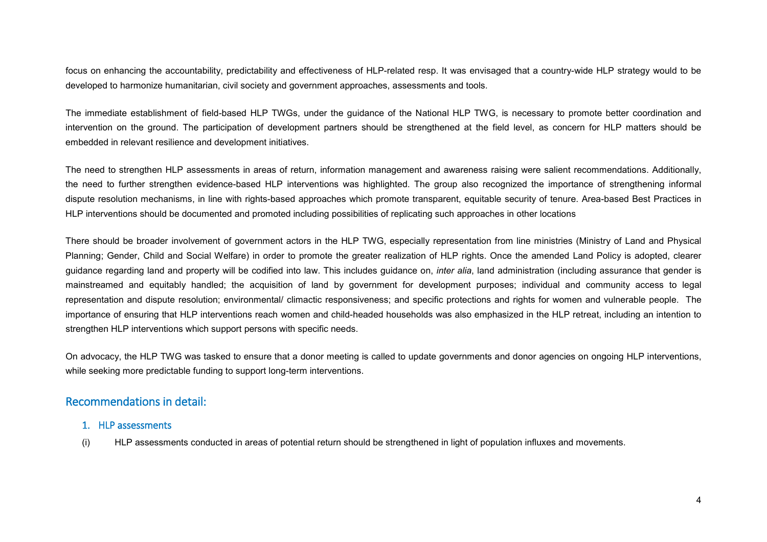focus on enhancing the accountability, predictability and effectiveness of HLP-related resp. It was envisaged that a country-wide HLP strategy would to be developed to harmonize humanitarian, civil society and government approaches, assessments and tools.

The immediate establishment of field-based HLP TWGs, under the guidance of the National HLP TWG, is necessary to promote better coordination and intervention on the ground. The participation of development partners should be strengthened at the field level, as concern for HLP matters should be embedded in relevant resilience and development initiatives.

The need to strengthen HLP assessments in areas of return, information management and awareness raising were salient recommendations. Additionally, the need to further strengthen evidence-based HLP interventions was highlighted. The group also recognized the importance of strengthening informal dispute resolution mechanisms, in line with rights-based approaches which promote transparent, equitable security of tenure. Area-based Best Practices in HLP interventions should be documented and promoted including possibilities of replicating such approaches in other locations

There should be broader involvement of government actors in the HLP TWG, especially representation from line ministries (Ministry of Land and Physical Planning; Gender, Child and Social Welfare) in order to promote the greater realization of HLP rights. Once the amended Land Policy is adopted, clearer guidance regarding land and property will be codified into law. This includes guidance on, *inter alia*, land administration (including assurance that gender is mainstreamed and equitably handled; the acquisition of land by government for development purposes; individual and community access to legal representation and dispute resolution; environmental/ climactic responsiveness; and specific protections and rights for women and vulnerable people. The importance of ensuring that HLP interventions reach women and child-headed households was also emphasized in the HLP retreat, including an intention to strengthen HLP interventions which support persons with specific needs.

On advocacy, the HLP TWG was tasked to ensure that a donor meeting is called to update governments and donor agencies on ongoing HLP interventions, while seeking more predictable funding to support long-term interventions.

## Recommendations in detail:

- 1. HLP assessments
- (i) HLP assessments conducted in areas of potential return should be strengthened in light of population influxes and movements.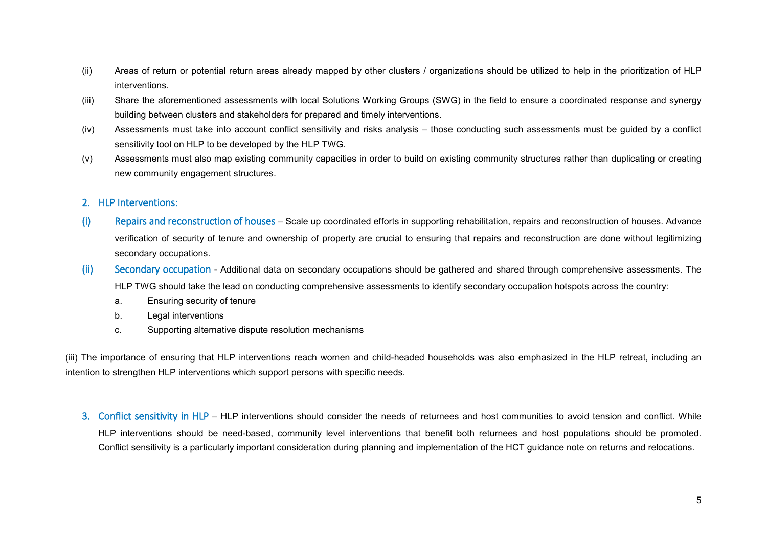- (ii) Areas of return or potential return areas already mapped by other clusters / organizations should be utilized to help in the prioritization of HLP interventions.
- (iii) Share the aforementioned assessments with local Solutions Working Groups (SWG) in the field to ensure a coordinated response and synergy building between clusters and stakeholders for prepared and timely interventions.
- (iv) Assessments must take into account conflict sensitivity and risks analysis those conducting such assessments must be guided by a conflict sensitivity tool on HLP to be developed by the HLP TWG.
- (v) Assessments must also map existing community capacities in order to build on existing community structures rather than duplicating or creating new community engagement structures.

#### 2. HLP Interventions:

- (i) Repairs and reconstruction of houses Scale up coordinated efforts in supporting rehabilitation, repairs and reconstruction of houses. Advance verification of security of tenure and ownership of property are crucial to ensuring that repairs and reconstruction are done without legitimizing secondary occupations.
- (ii) Secondary occupation Additional data on secondary occupations should be gathered and shared through comprehensive assessments. The HLP TWG should take the lead on conducting comprehensive assessments to identify secondary occupation hotspots across the country:
	- a. Ensuring security of tenure
	- b. Legal interventions
	- c. Supporting alternative dispute resolution mechanisms

(iii) The importance of ensuring that HLP interventions reach women and child-headed households was also emphasized in the HLP retreat, including an intention to strengthen HLP interventions which support persons with specific needs.

3. Conflict sensitivity in HLP – HLP interventions should consider the needs of returnees and host communities to avoid tension and conflict. While HLP interventions should be need-based, community level interventions that benefit both returnees and host populations should be promoted. Conflict sensitivity is a particularly important consideration during planning and implementation of the HCT guidance note on returns and relocations.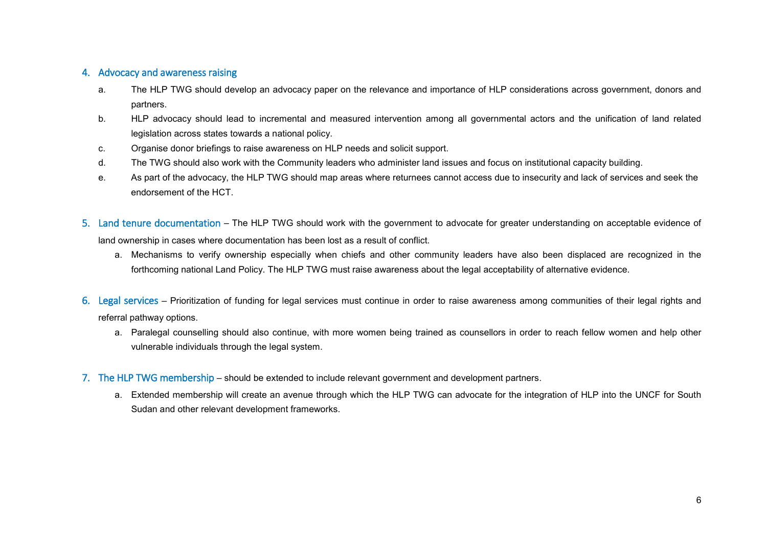#### 4. Advocacy and awareness raising

- a. The HLP TWG should develop an advocacy paper on the relevance and importance of HLP considerations across government, donors and partners.
- b. HLP advocacy should lead to incremental and measured intervention among all governmental actors and the unification of land related legislation across states towards a national policy.
- c. Organise donor briefings to raise awareness on HLP needs and solicit support.
- d. The TWG should also work with the Community leaders who administer land issues and focus on institutional capacity building.
- e. As part of the advocacy, the HLP TWG should map areas where returnees cannot access due to insecurity and lack of services and seek the endorsement of the HCT.
- 5. Land tenure documentation The HLP TWG should work with the government to advocate for greater understanding on acceptable evidence of land ownership in cases where documentation has been lost as a result of conflict.
	- a. Mechanisms to verify ownership especially when chiefs and other community leaders have also been displaced are recognized in the forthcoming national Land Policy. The HLP TWG must raise awareness about the legal acceptability of alternative evidence.
- 6. Legal services Prioritization of funding for legal services must continue in order to raise awareness among communities of their legal rights and referral pathway options.
	- a. Paralegal counselling should also continue, with more women being trained as counsellors in order to reach fellow women and help other vulnerable individuals through the legal system.
- 7. The HLP TWG membership should be extended to include relevant government and development partners.
	- a. Extended membership will create an avenue through which the HLP TWG can advocate for the integration of HLP into the UNCF for South Sudan and other relevant development frameworks.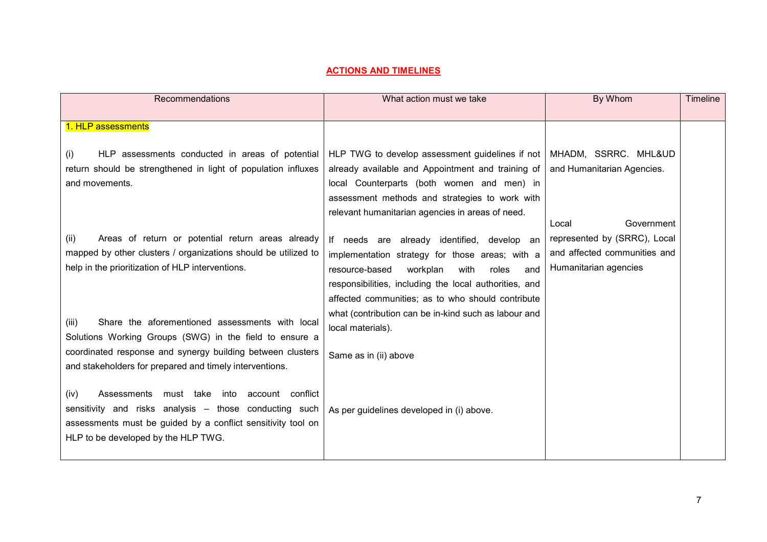#### **ACTIONS AND TIMELINES**

| Recommendations                                                                                                                                                                                                                             | What action must we take                                                                                                                                                                                                                                                                                                                         | By Whom                                                                               | <b>Timeline</b> |
|---------------------------------------------------------------------------------------------------------------------------------------------------------------------------------------------------------------------------------------------|--------------------------------------------------------------------------------------------------------------------------------------------------------------------------------------------------------------------------------------------------------------------------------------------------------------------------------------------------|---------------------------------------------------------------------------------------|-----------------|
| 1. HLP assessments                                                                                                                                                                                                                          |                                                                                                                                                                                                                                                                                                                                                  |                                                                                       |                 |
| HLP assessments conducted in areas of potential<br>(i)<br>return should be strengthened in light of population influxes<br>and movements.                                                                                                   | HLP TWG to develop assessment guidelines if not   MHADM, SSRRC. MHL&UD<br>already available and Appointment and training of<br>local Counterparts (both women and men) in<br>assessment methods and strategies to work with<br>relevant humanitarian agencies in areas of need.                                                                  | and Humanitarian Agencies.<br>Government<br>Local                                     |                 |
| Areas of return or potential return areas already<br>(ii)<br>mapped by other clusters / organizations should be utilized to<br>help in the prioritization of HLP interventions.<br>Share the aforementioned assessments with local<br>(iii) | If needs are already identified, develop an<br>implementation strategy for those areas; with a<br>resource-based<br>workplan<br>with<br>roles<br>and<br>responsibilities, including the local authorities, and<br>affected communities; as to who should contribute<br>what (contribution can be in-kind such as labour and<br>local materials). | represented by (SRRC), Local<br>and affected communities and<br>Humanitarian agencies |                 |
| Solutions Working Groups (SWG) in the field to ensure a<br>coordinated response and synergy building between clusters<br>and stakeholders for prepared and timely interventions.                                                            | Same as in (ii) above                                                                                                                                                                                                                                                                                                                            |                                                                                       |                 |
| (iv)<br>Assessments must take into account conflict<br>sensitivity and risks analysis - those conducting such<br>assessments must be guided by a conflict sensitivity tool on<br>HLP to be developed by the HLP TWG.                        | As per guidelines developed in (i) above.                                                                                                                                                                                                                                                                                                        |                                                                                       |                 |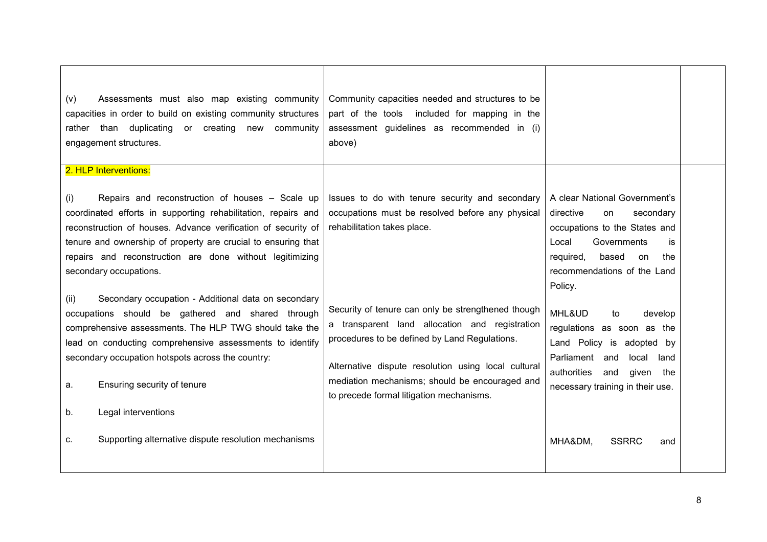| Assessments must also map existing community<br>(v)<br>capacities in order to build on existing community structures<br>rather than duplicating or creating new community<br>engagement structures.                                                                                                                                                                                                                                                                                                                                                                                                                                                                                                              | Community capacities needed and structures to be<br>part of the tools included for mapping in the<br>assessment guidelines as recommended in (i)<br>above)                                                                                                                                                                                                                                                                                       |                                                                                                                                                                                                                                                                                                                                                                                                              |  |
|------------------------------------------------------------------------------------------------------------------------------------------------------------------------------------------------------------------------------------------------------------------------------------------------------------------------------------------------------------------------------------------------------------------------------------------------------------------------------------------------------------------------------------------------------------------------------------------------------------------------------------------------------------------------------------------------------------------|--------------------------------------------------------------------------------------------------------------------------------------------------------------------------------------------------------------------------------------------------------------------------------------------------------------------------------------------------------------------------------------------------------------------------------------------------|--------------------------------------------------------------------------------------------------------------------------------------------------------------------------------------------------------------------------------------------------------------------------------------------------------------------------------------------------------------------------------------------------------------|--|
| 2. HLP Interventions:                                                                                                                                                                                                                                                                                                                                                                                                                                                                                                                                                                                                                                                                                            |                                                                                                                                                                                                                                                                                                                                                                                                                                                  |                                                                                                                                                                                                                                                                                                                                                                                                              |  |
| Repairs and reconstruction of houses - Scale up<br>(i)<br>coordinated efforts in supporting rehabilitation, repairs and<br>reconstruction of houses. Advance verification of security of<br>tenure and ownership of property are crucial to ensuring that<br>repairs and reconstruction are done without legitimizing<br>secondary occupations.<br>Secondary occupation - Additional data on secondary<br>(ii)<br>occupations should be gathered and shared through<br>comprehensive assessments. The HLP TWG should take the<br>lead on conducting comprehensive assessments to identify<br>secondary occupation hotspots across the country:<br>Ensuring security of tenure<br>а.<br>Legal interventions<br>b. | Issues to do with tenure security and secondary<br>occupations must be resolved before any physical<br>rehabilitation takes place.<br>Security of tenure can only be strengthened though<br>a transparent land allocation and registration<br>procedures to be defined by Land Regulations.<br>Alternative dispute resolution using local cultural<br>mediation mechanisms; should be encouraged and<br>to precede formal litigation mechanisms. | A clear National Government's<br>directive<br>secondary<br>on<br>occupations to the States and<br>Local<br>Governments<br>is<br>required,<br>based<br>on<br>the<br>recommendations of the Land<br>Policy.<br>MHL&UD<br>develop<br>to<br>regulations as soon as the<br>Land Policy is adopted by<br>Parliament and<br>local<br>land<br>authorities<br>and<br>given<br>the<br>necessary training in their use. |  |
| Supporting alternative dispute resolution mechanisms<br>C.                                                                                                                                                                                                                                                                                                                                                                                                                                                                                                                                                                                                                                                       |                                                                                                                                                                                                                                                                                                                                                                                                                                                  | MHA&DM,<br><b>SSRRC</b><br>and                                                                                                                                                                                                                                                                                                                                                                               |  |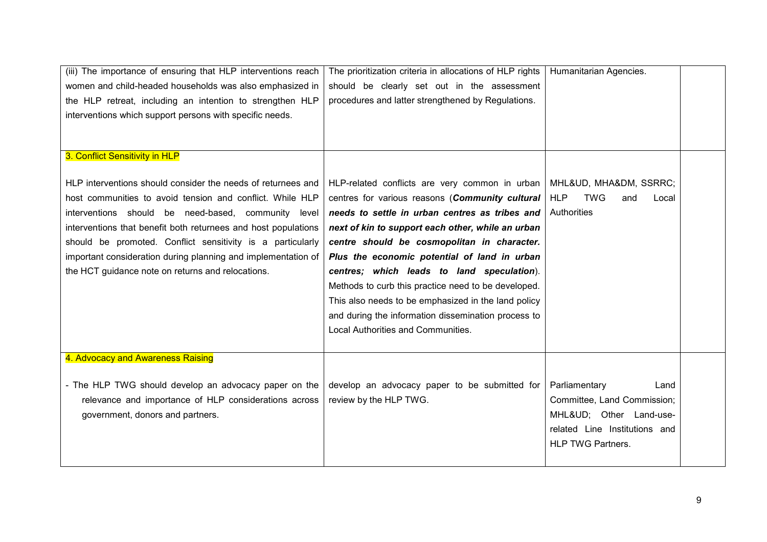| (iii) The importance of ensuring that HLP interventions reach  | The prioritization criteria in allocations of HLP rights | Humanitarian Agencies.                   |  |
|----------------------------------------------------------------|----------------------------------------------------------|------------------------------------------|--|
| women and child-headed households was also emphasized in       | should be clearly set out in the assessment              |                                          |  |
| the HLP retreat, including an intention to strengthen HLP      | procedures and latter strengthened by Regulations.       |                                          |  |
| interventions which support persons with specific needs.       |                                                          |                                          |  |
|                                                                |                                                          |                                          |  |
|                                                                |                                                          |                                          |  |
| 3. Conflict Sensitivity in HLP                                 |                                                          |                                          |  |
|                                                                |                                                          |                                          |  |
| HLP interventions should consider the needs of returnees and   | HLP-related conflicts are very common in urban           | MHL&UD, MHA&DM, SSRRC;                   |  |
| host communities to avoid tension and conflict. While HLP      | centres for various reasons (Community cultural          | <b>TWG</b><br><b>HLP</b><br>and<br>Local |  |
| interventions should be need-based, community level            | needs to settle in urban centres as tribes and           | Authorities                              |  |
| interventions that benefit both returnees and host populations | next of kin to support each other, while an urban        |                                          |  |
| should be promoted. Conflict sensitivity is a particularly     | centre should be cosmopolitan in character.              |                                          |  |
| important consideration during planning and implementation of  | Plus the economic potential of land in urban             |                                          |  |
| the HCT guidance note on returns and relocations.              | centres; which leads to land speculation).               |                                          |  |
|                                                                | Methods to curb this practice need to be developed.      |                                          |  |
|                                                                | This also needs to be emphasized in the land policy      |                                          |  |
|                                                                | and during the information dissemination process to      |                                          |  |
|                                                                | Local Authorities and Communities.                       |                                          |  |
|                                                                |                                                          |                                          |  |
| 4. Advocacy and Awareness Raising                              |                                                          |                                          |  |
|                                                                |                                                          |                                          |  |
| - The HLP TWG should develop an advocacy paper on the          | develop an advocacy paper to be submitted for            | Parliamentary<br>Land                    |  |
| relevance and importance of HLP considerations across          | review by the HLP TWG.                                   | Committee, Land Commission;              |  |
| government, donors and partners.                               |                                                          | MHL&UD Other Land-use-                   |  |
|                                                                |                                                          | related Line Institutions and            |  |
|                                                                |                                                          | <b>HLP TWG Partners.</b>                 |  |
|                                                                |                                                          |                                          |  |
|                                                                |                                                          |                                          |  |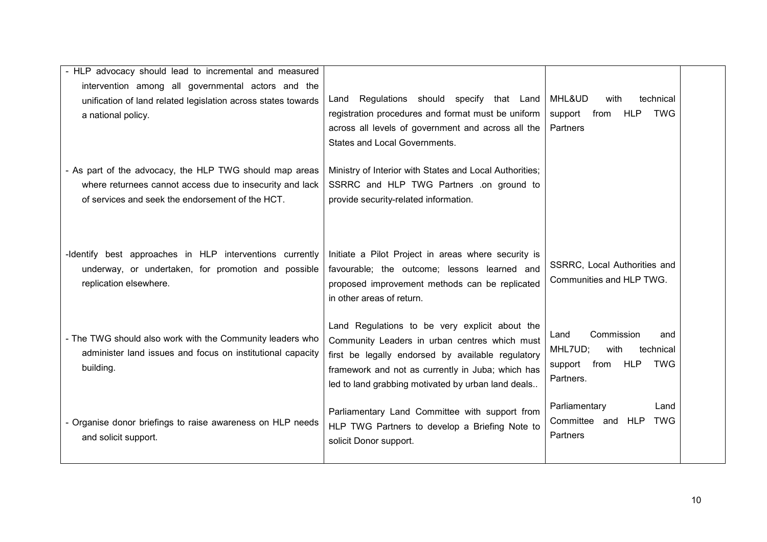| - HLP advocacy should lead to incremental and measured                                                                                                                  |                                                                                                                                                                                                                                                                 |                                                                                                         |  |
|-------------------------------------------------------------------------------------------------------------------------------------------------------------------------|-----------------------------------------------------------------------------------------------------------------------------------------------------------------------------------------------------------------------------------------------------------------|---------------------------------------------------------------------------------------------------------|--|
| intervention among all governmental actors and the<br>unification of land related legislation across states towards<br>a national policy.                               | Regulations should specify that Land<br>Land<br>registration procedures and format must be uniform<br>across all levels of government and across all the<br>States and Local Governments.                                                                       | MHL&UD<br>with<br>technical<br><b>TWG</b><br>support from<br>HLP<br>Partners                            |  |
| - As part of the advocacy, the HLP TWG should map areas<br>where returnees cannot access due to insecurity and lack<br>of services and seek the endorsement of the HCT. | Ministry of Interior with States and Local Authorities;<br>SSRRC and HLP TWG Partners .on ground to<br>provide security-related information.                                                                                                                    |                                                                                                         |  |
| -Identify best approaches in HLP interventions currently<br>underway, or undertaken, for promotion and possible<br>replication elsewhere.                               | Initiate a Pilot Project in areas where security is<br>favourable; the outcome; lessons learned and<br>proposed improvement methods can be replicated<br>in other areas of return.                                                                              | SSRRC, Local Authorities and<br>Communities and HLP TWG.                                                |  |
| - The TWG should also work with the Community leaders who<br>administer land issues and focus on institutional capacity<br>building.                                    | Land Regulations to be very explicit about the<br>Community Leaders in urban centres which must<br>first be legally endorsed by available regulatory<br>framework and not as currently in Juba; which has<br>led to land grabbing motivated by urban land deals | Land<br>Commission<br>and<br>MHL7UD;<br>with<br>technical<br>from<br>HLP<br>TWG<br>support<br>Partners. |  |
| - Organise donor briefings to raise awareness on HLP needs<br>and solicit support.                                                                                      | Parliamentary Land Committee with support from<br>HLP TWG Partners to develop a Briefing Note to<br>solicit Donor support.                                                                                                                                      | Parliamentary<br>Land<br>Committee and HLP TWG<br>Partners                                              |  |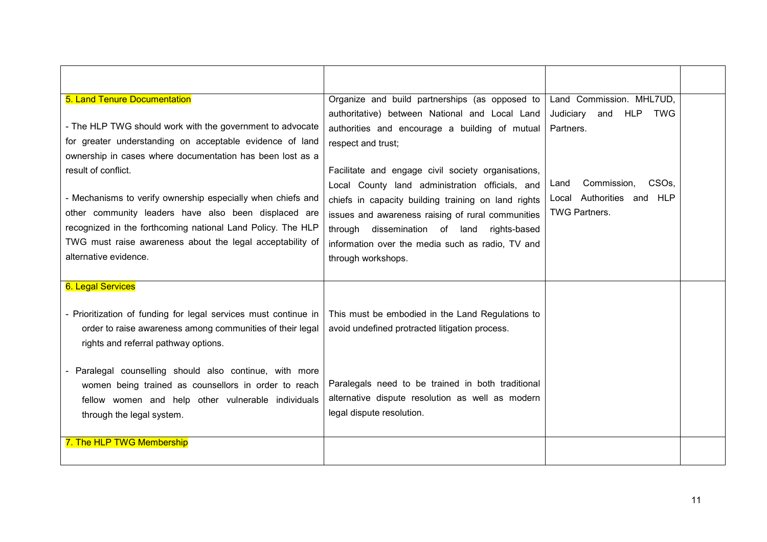| 5. Land Tenure Documentation                                    | Organize and build partnerships (as opposed to      | Land Commission. MHL7UD,                |  |
|-----------------------------------------------------------------|-----------------------------------------------------|-----------------------------------------|--|
|                                                                 | authoritative) between National and Local Land      | HLP<br>Judiciary<br>and<br><b>TWG</b>   |  |
| - The HLP TWG should work with the government to advocate       | authorities and encourage a building of mutual      | Partners.                               |  |
| for greater understanding on acceptable evidence of land        | respect and trust;                                  |                                         |  |
| ownership in cases where documentation has been lost as a       |                                                     |                                         |  |
| result of conflict.                                             | Facilitate and engage civil society organisations,  |                                         |  |
|                                                                 | Local County land administration officials, and     | Commission,<br>CSO <sub>s</sub><br>Land |  |
| - Mechanisms to verify ownership especially when chiefs and     | chiefs in capacity building training on land rights | Local Authorities and HLP               |  |
| other community leaders have also been displaced are            | issues and awareness raising of rural communities   | <b>TWG Partners.</b>                    |  |
| recognized in the forthcoming national Land Policy. The HLP     | through dissemination of land<br>rights-based       |                                         |  |
| TWG must raise awareness about the legal acceptability of       | information over the media such as radio, TV and    |                                         |  |
| alternative evidence.                                           | through workshops.                                  |                                         |  |
|                                                                 |                                                     |                                         |  |
| <b>6. Legal Services</b>                                        |                                                     |                                         |  |
|                                                                 |                                                     |                                         |  |
| - Prioritization of funding for legal services must continue in | This must be embodied in the Land Regulations to    |                                         |  |
| order to raise awareness among communities of their legal       | avoid undefined protracted litigation process.      |                                         |  |
| rights and referral pathway options.                            |                                                     |                                         |  |
|                                                                 |                                                     |                                         |  |
| Paralegal counselling should also continue, with more           |                                                     |                                         |  |
| women being trained as counsellors in order to reach            | Paralegals need to be trained in both traditional   |                                         |  |
| fellow women and help other vulnerable individuals              | alternative dispute resolution as well as modern    |                                         |  |
| through the legal system.                                       | legal dispute resolution.                           |                                         |  |
|                                                                 |                                                     |                                         |  |
| 7. The HLP TWG Membership                                       |                                                     |                                         |  |
|                                                                 |                                                     |                                         |  |